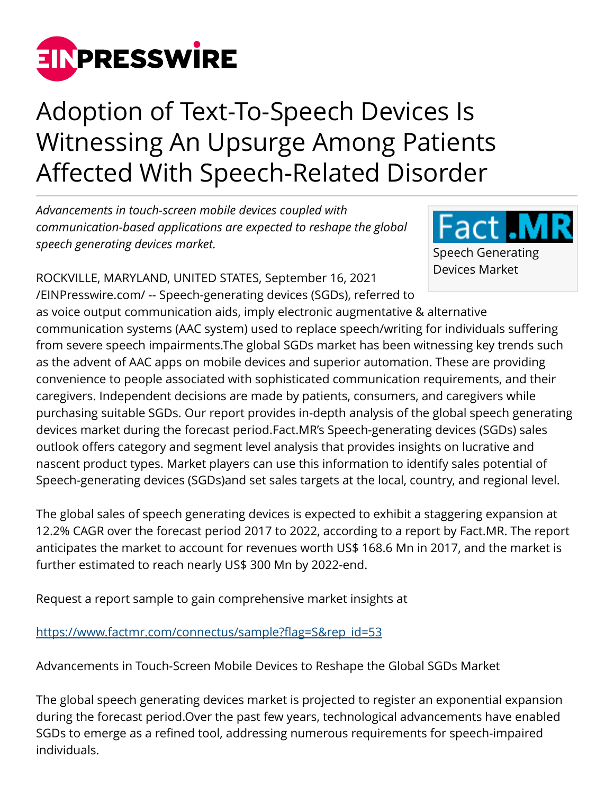

## Adoption of Text-To-Speech Devices Is Witnessing An Upsurge Among Patients Affected With Speech-Related Disorder

*Advancements in touch-screen mobile devices coupled with communication-based applications are expected to reshape the global speech generating devices market.*

ROCKVILLE, MARYLAND, UNITED STATES, September 16, 2021 [/EINPresswire.com/](http://www.einpresswire.com) -- Speech-generating devices (SGDs), referred to



as voice output communication aids, imply electronic augmentative & alternative communication systems (AAC system) used to replace speech/writing for individuals suffering from severe speech impairments.The global SGDs market has been witnessing key trends such as the advent of AAC apps on mobile devices and superior automation. These are providing convenience to people associated with sophisticated communication requirements, and their caregivers. Independent decisions are made by patients, consumers, and caregivers while purchasing suitable SGDs. Our report provides in-depth analysis of the global speech generating devices market during the forecast period.Fact.MR's Speech-generating devices (SGDs) sales outlook offers category and segment level analysis that provides insights on lucrative and nascent product types. Market players can use this information to identify sales potential of Speech-generating devices (SGDs)and set sales targets at the local, country, and regional level.

The global sales of speech generating devices is expected to exhibit a staggering expansion at 12.2% CAGR over the forecast period 2017 to 2022, according to a report by Fact.MR. The report anticipates the market to account for revenues worth US\$ 168.6 Mn in 2017, and the market is further estimated to reach nearly US\$ 300 Mn by 2022-end.

Request a report sample to gain comprehensive market insights at

[https://www.factmr.com/connectus/sample?flag=S&rep\\_id=53](https://www.factmr.com/connectus/sample?flag=S&rep_id=53)

Advancements in Touch-Screen Mobile Devices to Reshape the Global SGDs Market

The global speech generating devices market is projected to register an exponential expansion during the forecast period.Over the past few years, technological advancements have enabled SGDs to emerge as a refined tool, addressing numerous requirements for speech-impaired individuals.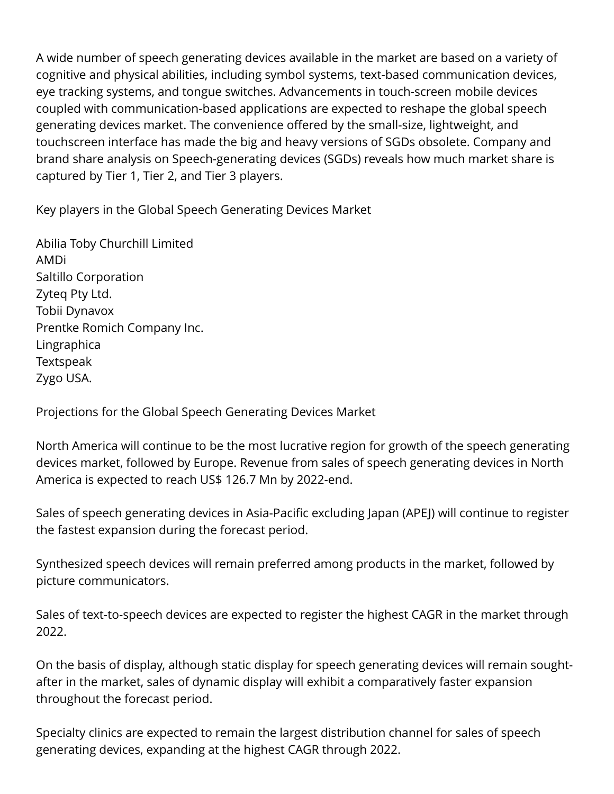A wide number of speech generating devices available in the market are based on a variety of cognitive and physical abilities, including symbol systems, text-based communication devices, eye tracking systems, and tongue switches. Advancements in touch-screen mobile devices coupled with communication-based applications are expected to reshape the global speech generating devices market. The convenience offered by the small-size, lightweight, and touchscreen interface has made the big and heavy versions of SGDs obsolete. Company and brand share analysis on Speech-generating devices (SGDs) reveals how much market share is captured by Tier 1, Tier 2, and Tier 3 players.

Key players in the Global Speech Generating Devices Market

Abilia Toby Churchill Limited AMDi Saltillo Corporation Zyteq Pty Ltd. Tobii Dynavox Prentke Romich Company Inc. Lingraphica **Textspeak** Zygo USA.

Projections for the Global Speech Generating Devices Market

North America will continue to be the most lucrative region for growth of the speech generating devices market, followed by Europe. Revenue from sales of speech generating devices in North America is expected to reach US\$ 126.7 Mn by 2022-end.

Sales of speech generating devices in Asia-Pacific excluding Japan (APEJ) will continue to register the fastest expansion during the forecast period.

Synthesized speech devices will remain preferred among products in the market, followed by picture communicators.

Sales of text-to-speech devices are expected to register the highest CAGR in the market through 2022.

On the basis of display, although static display for speech generating devices will remain soughtafter in the market, sales of dynamic display will exhibit a comparatively faster expansion throughout the forecast period.

Specialty clinics are expected to remain the largest distribution channel for sales of speech generating devices, expanding at the highest CAGR through 2022.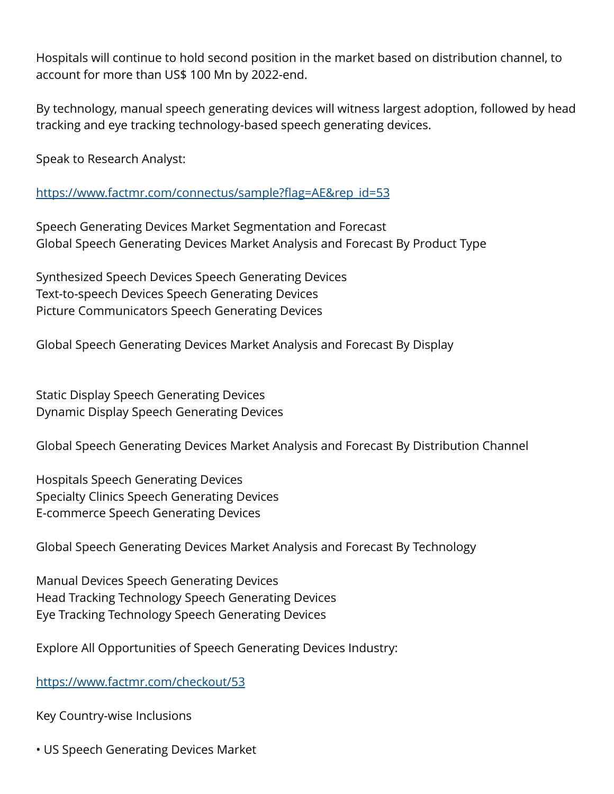Hospitals will continue to hold second position in the market based on distribution channel, to account for more than US\$ 100 Mn by 2022-end.

By technology, manual speech generating devices will witness largest adoption, followed by head tracking and eye tracking technology-based speech generating devices.

Speak to Research Analyst:

[https://www.factmr.com/connectus/sample?flag=AE&rep\\_id=53](https://www.factmr.com/connectus/sample?flag=AE&rep_id=53)

Speech Generating Devices Market Segmentation and Forecast Global Speech Generating Devices Market Analysis and Forecast By Product Type

Synthesized Speech Devices Speech Generating Devices Text-to-speech Devices Speech Generating Devices Picture Communicators Speech Generating Devices

Global Speech Generating Devices Market Analysis and Forecast By Display

Static Display Speech Generating Devices Dynamic Display Speech Generating Devices

Global Speech Generating Devices Market Analysis and Forecast By Distribution Channel

Hospitals Speech Generating Devices Specialty Clinics Speech Generating Devices E-commerce Speech Generating Devices

Global Speech Generating Devices Market Analysis and Forecast By Technology

Manual Devices Speech Generating Devices Head Tracking Technology Speech Generating Devices Eye Tracking Technology Speech Generating Devices

Explore All Opportunities of Speech Generating Devices Industry:

<https://www.factmr.com/checkout/53>

Key Country-wise Inclusions

• US Speech Generating Devices Market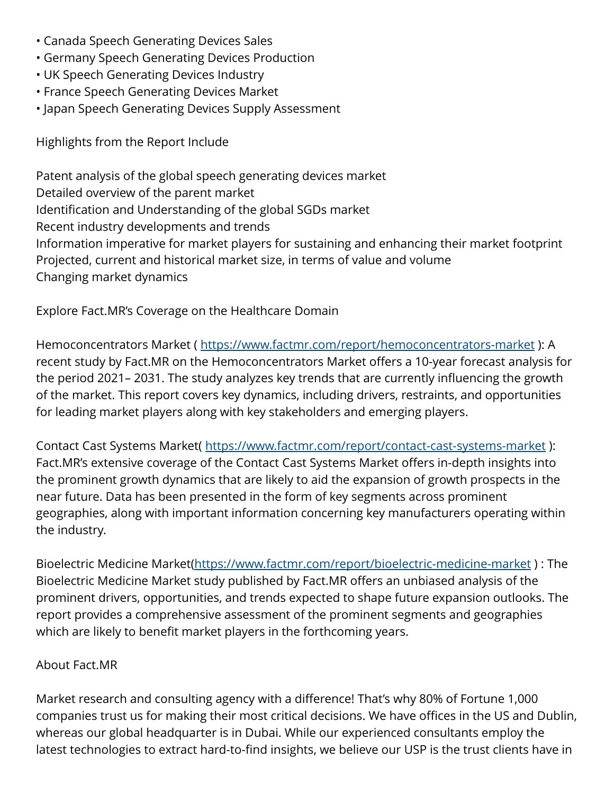- Canada Speech Generating Devices Sales
- Germany Speech Generating Devices Production
- UK Speech Generating Devices Industry
- France Speech Generating Devices Market
- Japan Speech Generating Devices Supply Assessment

Highlights from the Report Include

Patent analysis of the global speech generating devices market Detailed overview of the parent market Identification and Understanding of the global SGDs market Recent industry developments and trends Information imperative for market players for sustaining and enhancing their market footprint Projected, current and historical market size, in terms of value and volume Changing market dynamics

Explore Fact.MR's Coverage on the Healthcare Domain

Hemoconcentrators Market (<https://www.factmr.com/report/hemoconcentrators-market> ): A recent study by Fact.MR on the Hemoconcentrators Market offers a 10-year forecast analysis for the period 2021– 2031. The study analyzes key trends that are currently influencing the growth of the market. This report covers key dynamics, including drivers, restraints, and opportunities for leading market players along with key stakeholders and emerging players.

Contact Cast Systems Market( <https://www.factmr.com/report/contact-cast-systems-market> ): Fact.MR's extensive coverage of the Contact Cast Systems Market offers in-depth insights into the prominent growth dynamics that are likely to aid the expansion of growth prospects in the near future. Data has been presented in the form of key segments across prominent geographies, along with important information concerning key manufacturers operating within the industry.

Bioelectric Medicine Market[\(https://www.factmr.com/report/bioelectric-medicine-market](https://www.factmr.com/report/bioelectric-medicine-market) ) : The Bioelectric Medicine Market study published by Fact.MR offers an unbiased analysis of the prominent drivers, opportunities, and trends expected to shape future expansion outlooks. The report provides a comprehensive assessment of the prominent segments and geographies which are likely to benefit market players in the forthcoming years.

## About Fact.MR

Market research and consulting agency with a difference! That's why 80% of Fortune 1,000 companies trust us for making their most critical decisions. We have offices in the US and Dublin, whereas our global headquarter is in Dubai. While our experienced consultants employ the latest technologies to extract hard-to-find insights, we believe our USP is the trust clients have in